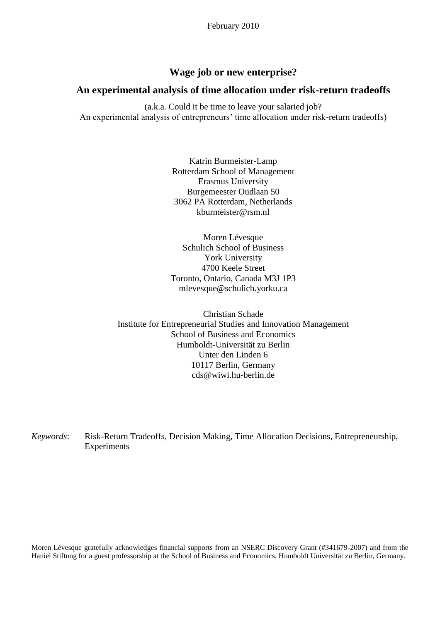# **Wage job or new enterprise?**

## **An experimental analysis of time allocation under risk-return tradeoffs**

(a.k.a. Could it be time to leave your salaried job? An experimental analysis of entrepreneurs' time allocation under risk-return tradeoffs)

> Katrin Burmeister-Lamp Rotterdam School of Management Erasmus University Burgemeester Oudlaan 50 3062 PA Rotterdam, Netherlands kburmeister@rsm.nl

> Moren Lévesque Schulich School of Business York University 4700 Keele Street Toronto, Ontario, Canada M3J 1P3 mlevesque@schulich.yorku.ca

Christian Schade Institute for Entrepreneurial Studies and Innovation Management School of Business and Economics Humboldt-Universität zu Berlin Unter den Linden 6 10117 Berlin, Germany cds@wiwi.hu-berlin.de

*Keywords*: Risk-Return Tradeoffs, Decision Making, Time Allocation Decisions, Entrepreneurship, Experiments

Moren Lévesque gratefully acknowledges financial supports from an NSERC Discovery Grant (#341679-2007) and from the Haniel Stiftung for a guest professorship at the School of Business and Economics, Humboldt Universität zu Berlin, Germany.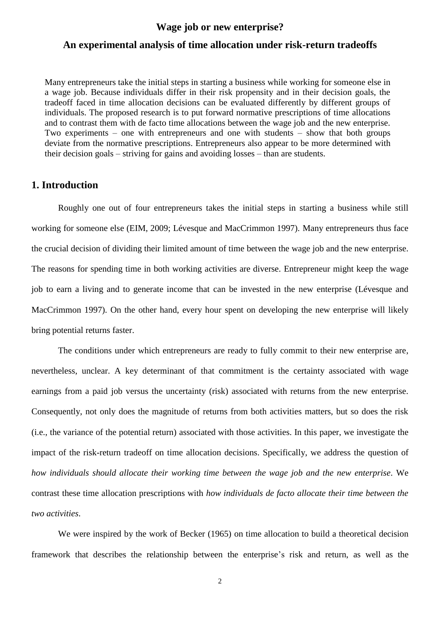# **Wage job or new enterprise?**

## **An experimental analysis of time allocation under risk-return tradeoffs**

Many entrepreneurs take the initial steps in starting a business while working for someone else in a wage job. Because individuals differ in their risk propensity and in their decision goals, the tradeoff faced in time allocation decisions can be evaluated differently by different groups of individuals. The proposed research is to put forward normative prescriptions of time allocations and to contrast them with de facto time allocations between the wage job and the new enterprise. Two experiments – one with entrepreneurs and one with students – show that both groups deviate from the normative prescriptions. Entrepreneurs also appear to be more determined with their decision goals – striving for gains and avoiding losses – than are students.

## **1. Introduction**

Roughly one out of four entrepreneurs takes the initial steps in starting a business while still working for someone else (EIM, 2009; Lévesque and MacCrimmon 1997). Many entrepreneurs thus face the crucial decision of dividing their limited amount of time between the wage job and the new enterprise. The reasons for spending time in both working activities are diverse. Entrepreneur might keep the wage job to earn a living and to generate income that can be invested in the new enterprise (Lévesque and MacCrimmon 1997). On the other hand, every hour spent on developing the new enterprise will likely bring potential returns faster.

The conditions under which entrepreneurs are ready to fully commit to their new enterprise are, nevertheless, unclear. A key determinant of that commitment is the certainty associated with wage earnings from a paid job versus the uncertainty (risk) associated with returns from the new enterprise. Consequently, not only does the magnitude of returns from both activities matters, but so does the risk (i.e., the variance of the potential return) associated with those activities. In this paper, we investigate the impact of the risk-return tradeoff on time allocation decisions. Specifically, we address the question of *how individuals should allocate their working time between the wage job and the new enterprise*. We contrast these time allocation prescriptions with *how individuals de facto allocate their time between the two activities*.

We were inspired by the work of Becker (1965) on time allocation to build a theoretical decision framework that describes the relationship between the enterprise"s risk and return, as well as the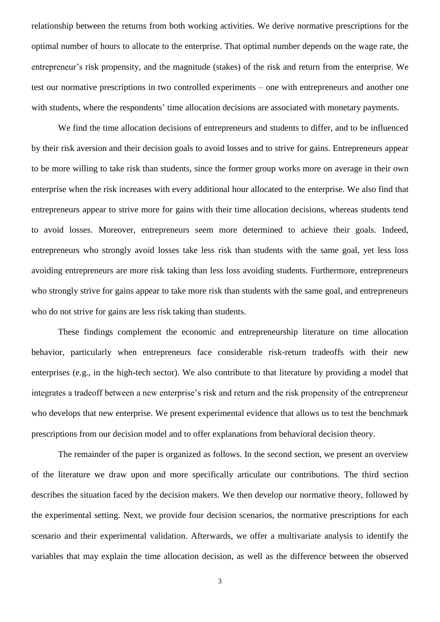relationship between the returns from both working activities. We derive normative prescriptions for the optimal number of hours to allocate to the enterprise. That optimal number depends on the wage rate, the entrepreneur's risk propensity, and the magnitude (stakes) of the risk and return from the enterprise. We test our normative prescriptions in two controlled experiments – one with entrepreneurs and another one with students, where the respondents' time allocation decisions are associated with monetary payments.

We find the time allocation decisions of entrepreneurs and students to differ, and to be influenced by their risk aversion and their decision goals to avoid losses and to strive for gains. Entrepreneurs appear to be more willing to take risk than students, since the former group works more on average in their own enterprise when the risk increases with every additional hour allocated to the enterprise. We also find that entrepreneurs appear to strive more for gains with their time allocation decisions, whereas students tend to avoid losses. Moreover, entrepreneurs seem more determined to achieve their goals. Indeed, entrepreneurs who strongly avoid losses take less risk than students with the same goal, yet less loss avoiding entrepreneurs are more risk taking than less loss avoiding students. Furthermore, entrepreneurs who strongly strive for gains appear to take more risk than students with the same goal, and entrepreneurs who do not strive for gains are less risk taking than students.

These findings complement the economic and entrepreneurship literature on time allocation behavior, particularly when entrepreneurs face considerable risk-return tradeoffs with their new enterprises (e.g., in the high-tech sector). We also contribute to that literature by providing a model that integrates a tradeoff between a new enterprise's risk and return and the risk propensity of the entrepreneur who develops that new enterprise. We present experimental evidence that allows us to test the benchmark prescriptions from our decision model and to offer explanations from behavioral decision theory.

The remainder of the paper is organized as follows. In the second section, we present an overview of the literature we draw upon and more specifically articulate our contributions. The third section describes the situation faced by the decision makers. We then develop our normative theory, followed by the experimental setting. Next, we provide four decision scenarios, the normative prescriptions for each scenario and their experimental validation. Afterwards, we offer a multivariate analysis to identify the variables that may explain the time allocation decision, as well as the difference between the observed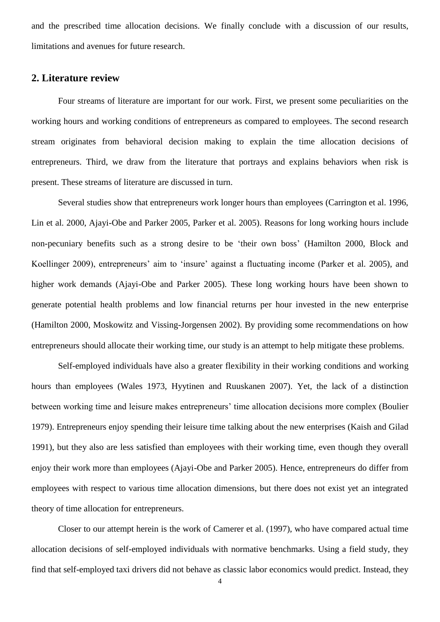and the prescribed time allocation decisions. We finally conclude with a discussion of our results, limitations and avenues for future research.

# **2. Literature review**

Four streams of literature are important for our work. First, we present some peculiarities on the working hours and working conditions of entrepreneurs as compared to employees. The second research stream originates from behavioral decision making to explain the time allocation decisions of entrepreneurs. Third, we draw from the literature that portrays and explains behaviors when risk is present. These streams of literature are discussed in turn.

Several studies show that entrepreneurs work longer hours than employees (Carrington et al. 1996, Lin et al. 2000, Ajayi-Obe and Parker 2005, Parker et al. 2005). Reasons for long working hours include non-pecuniary benefits such as a strong desire to be "their own boss" (Hamilton 2000, Block and Koellinger 2009), entrepreneurs' aim to 'insure' against a fluctuating income (Parker et al. 2005), and higher work demands (Ajayi-Obe and Parker 2005). These long working hours have been shown to generate potential health problems and low financial returns per hour invested in the new enterprise (Hamilton 2000, Moskowitz and Vissing-Jorgensen 2002). By providing some recommendations on how entrepreneurs should allocate their working time, our study is an attempt to help mitigate these problems.

Self-employed individuals have also a greater flexibility in their working conditions and working hours than employees (Wales 1973, Hyytinen and Ruuskanen 2007). Yet, the lack of a distinction between working time and leisure makes entrepreneurs' time allocation decisions more complex (Boulier 1979). Entrepreneurs enjoy spending their leisure time talking about the new enterprises (Kaish and Gilad 1991), but they also are less satisfied than employees with their working time, even though they overall enjoy their work more than employees (Ajayi-Obe and Parker 2005). Hence, entrepreneurs do differ from employees with respect to various time allocation dimensions, but there does not exist yet an integrated theory of time allocation for entrepreneurs.

Closer to our attempt herein is the work of Camerer et al. (1997), who have compared actual time allocation decisions of self-employed individuals with normative benchmarks. Using a field study, they find that self-employed taxi drivers did not behave as classic labor economics would predict. Instead, they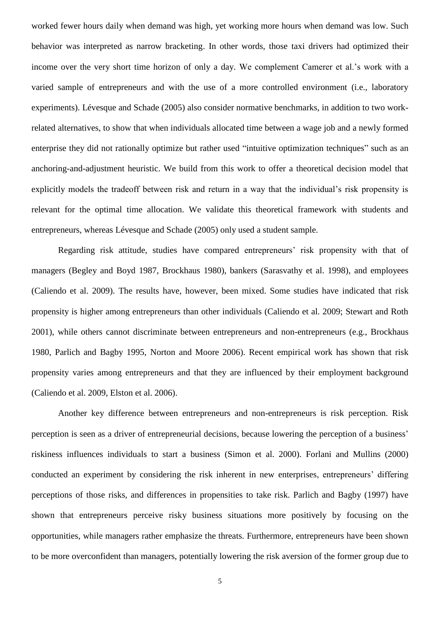worked fewer hours daily when demand was high, yet working more hours when demand was low. Such behavior was interpreted as narrow bracketing. In other words, those taxi drivers had optimized their income over the very short time horizon of only a day. We complement Camerer et al."s work with a varied sample of entrepreneurs and with the use of a more controlled environment (i.e., laboratory experiments). Lévesque and Schade (2005) also consider normative benchmarks, in addition to two workrelated alternatives, to show that when individuals allocated time between a wage job and a newly formed enterprise they did not rationally optimize but rather used "intuitive optimization techniques" such as an anchoring-and-adjustment heuristic. We build from this work to offer a theoretical decision model that explicitly models the tradeoff between risk and return in a way that the individual"s risk propensity is relevant for the optimal time allocation. We validate this theoretical framework with students and entrepreneurs, whereas Lévesque and Schade (2005) only used a student sample.

Regarding risk attitude, studies have compared entrepreneurs' risk propensity with that of managers (Begley and Boyd 1987, Brockhaus 1980), bankers (Sarasvathy et al. 1998), and employees (Caliendo et al. 2009). The results have, however, been mixed. Some studies have indicated that risk propensity is higher among entrepreneurs than other individuals (Caliendo et al. 2009; Stewart and Roth 2001), while others cannot discriminate between entrepreneurs and non-entrepreneurs (e.g., Brockhaus 1980, Parlich and Bagby 1995, Norton and Moore 2006). Recent empirical work has shown that risk propensity varies among entrepreneurs and that they are influenced by their employment background (Caliendo et al. 2009, Elston et al. 2006).

Another key difference between entrepreneurs and non-entrepreneurs is risk perception. Risk perception is seen as a driver of entrepreneurial decisions, because lowering the perception of a business" riskiness influences individuals to start a business (Simon et al. 2000). Forlani and Mullins (2000) conducted an experiment by considering the risk inherent in new enterprises, entrepreneurs' differing perceptions of those risks, and differences in propensities to take risk. Parlich and Bagby (1997) have shown that entrepreneurs perceive risky business situations more positively by focusing on the opportunities, while managers rather emphasize the threats. Furthermore, entrepreneurs have been shown to be more overconfident than managers, potentially lowering the risk aversion of the former group due to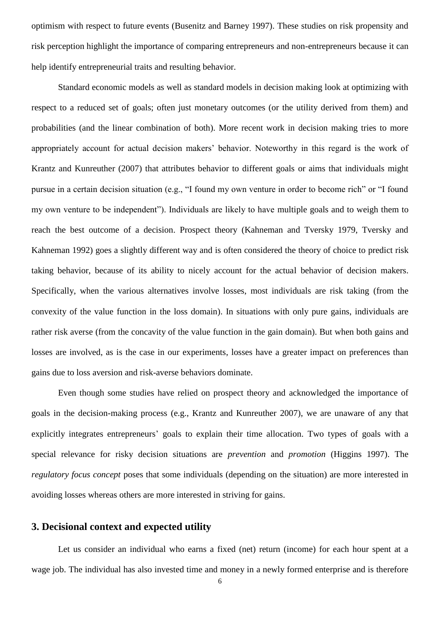optimism with respect to future events (Busenitz and Barney 1997). These studies on risk propensity and risk perception highlight the importance of comparing entrepreneurs and non-entrepreneurs because it can help identify entrepreneurial traits and resulting behavior.

Standard economic models as well as standard models in decision making look at optimizing with respect to a reduced set of goals; often just monetary outcomes (or the utility derived from them) and probabilities (and the linear combination of both). More recent work in decision making tries to more appropriately account for actual decision makers" behavior. Noteworthy in this regard is the work of Krantz and Kunreuther (2007) that attributes behavior to different goals or aims that individuals might pursue in a certain decision situation (e.g., "I found my own venture in order to become rich" or "I found my own venture to be independent"). Individuals are likely to have multiple goals and to weigh them to reach the best outcome of a decision. Prospect theory (Kahneman and Tversky 1979, Tversky and Kahneman 1992) goes a slightly different way and is often considered the theory of choice to predict risk taking behavior, because of its ability to nicely account for the actual behavior of decision makers. Specifically, when the various alternatives involve losses, most individuals are risk taking (from the convexity of the value function in the loss domain). In situations with only pure gains, individuals are rather risk averse (from the concavity of the value function in the gain domain). But when both gains and losses are involved, as is the case in our experiments, losses have a greater impact on preferences than gains due to loss aversion and risk-averse behaviors dominate.

Even though some studies have relied on prospect theory and acknowledged the importance of goals in the decision-making process (e.g., Krantz and Kunreuther 2007), we are unaware of any that explicitly integrates entrepreneurs' goals to explain their time allocation. Two types of goals with a special relevance for risky decision situations are *prevention* and *promotion* (Higgins 1997). The *regulatory focus concept* poses that some individuals (depending on the situation) are more interested in avoiding losses whereas others are more interested in striving for gains.

# **3. Decisional context and expected utility**

Let us consider an individual who earns a fixed (net) return (income) for each hour spent at a wage job. The individual has also invested time and money in a newly formed enterprise and is therefore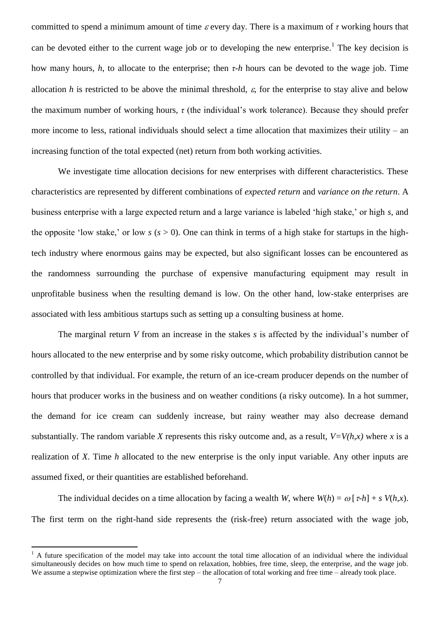committed to spend a minimum amount of time every day. There is a maximum of *τ* working hours that can be devoted either to the current wage job or to developing the new enterprise.<sup>1</sup> The key decision is how many hours, *h*, to allocate to the enterprise; then *τ-h* hours can be devoted to the wage job. Time allocation *h* is restricted to be above the minimal threshold,  $\varepsilon$ , for the enterprise to stay alive and below the maximum number of working hours,  $\tau$  (the individual's work tolerance). Because they should prefer more income to less, rational individuals should select a time allocation that maximizes their utility – an increasing function of the total expected (net) return from both working activities.

We investigate time allocation decisions for new enterprises with different characteristics. These characteristics are represented by different combinations of *expected return* and *variance on the return*. A business enterprise with a large expected return and a large variance is labeled "high stake," or high *s*, and the opposite 'low stake,' or low  $s$  ( $s > 0$ ). One can think in terms of a high stake for startups in the hightech industry where enormous gains may be expected, but also significant losses can be encountered as the randomness surrounding the purchase of expensive manufacturing equipment may result in unprofitable business when the resulting demand is low. On the other hand, low-stake enterprises are associated with less ambitious startups such as setting up a consulting business at home.

The marginal return *V* from an increase in the stakes *s* is affected by the individual's number of hours allocated to the new enterprise and by some risky outcome, which probability distribution cannot be controlled by that individual. For example, the return of an ice-cream producer depends on the number of hours that producer works in the business and on weather conditions (a risky outcome). In a hot summer, the demand for ice cream can suddenly increase, but rainy weather may also decrease demand substantially. The random variable *X* represents this risky outcome and, as a result,  $V=V(h,x)$  where *x* is a realization of *X*. Time *h* allocated to the new enterprise is the only input variable. Any other inputs are assumed fixed, or their quantities are established beforehand.

The individual decides on a time allocation by facing a wealth *W*, where  $W(h) = \omega \left[ \tau - h \right] + s V(h,x)$ . The first term on the right-hand side represents the (risk-free) return associated with the wage job,

 $\overline{a}$ 

 $<sup>1</sup>$  A future specification of the model may take into account the total time allocation of an individual where the individual</sup> simultaneously decides on how much time to spend on relaxation, hobbies, free time, sleep, the enterprise, and the wage job. We assume a stepwise optimization where the first step – the allocation of total working and free time – already took place.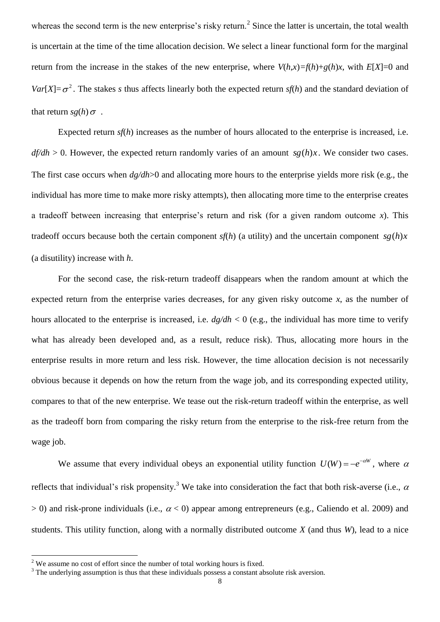whereas the second term is the new enterprise's risky return.<sup>2</sup> Since the latter is uncertain, the total wealth is uncertain at the time of the time allocation decision. We select a linear functional form for the marginal return from the increase in the stakes of the new enterprise, where  $V(h,x)=f(h)+g(h)x$ , with  $E[X]=0$  and *Var*[*X*]= $\sigma^2$ . The stakes *s* thus affects linearly both the expected return *sf*(*h*) and the standard deviation of that return  $sg(h)\sigma$ .

Expected return *sf*(*h*) increases as the number of hours allocated to the enterprise is increased, i.e. *df/dh* > 0. However, the expected return randomly varies of an amount *sg*(*h*)*x* . We consider two cases. The first case occurs when *dg/dh*>0 and allocating more hours to the enterprise yields more risk (e.g., the individual has more time to make more risky attempts), then allocating more time to the enterprise creates a tradeoff between increasing that enterprise"s return and risk (for a given random outcome *x*). This tradeoff occurs because both the certain component *sf*(*h*) (a utility) and the uncertain component *sg*(*h*)*x* (a disutility) increase with *h*.

For the second case, the risk-return tradeoff disappears when the random amount at which the expected return from the enterprise varies decreases, for any given risky outcome *x*, as the number of hours allocated to the enterprise is increased, i.e.  $dg/dh < 0$  (e.g., the individual has more time to verify what has already been developed and, as a result, reduce risk). Thus, allocating more hours in the enterprise results in more return and less risk. However, the time allocation decision is not necessarily obvious because it depends on how the return from the wage job, and its corresponding expected utility, compares to that of the new enterprise. We tease out the risk-return tradeoff within the enterprise, as well as the tradeoff born from comparing the risky return from the enterprise to the risk-free return from the wage job.

We assume that every individual obeys an exponential utility function  $U(W) = -e^{-\alpha W}$ , where  $\alpha$ reflects that individual's risk propensity.<sup>3</sup> We take into consideration the fact that both risk-averse (i.e.,  $\alpha$  $> 0$ ) and risk-prone individuals (i.e.,  $\alpha < 0$ ) appear among entrepreneurs (e.g., Caliendo et al. 2009) and students. This utility function, along with a normally distributed outcome *X* (and thus *W*), lead to a nice

 $\overline{a}$ 

<sup>&</sup>lt;sup>2</sup> We assume no cost of effort since the number of total working hours is fixed.

<sup>&</sup>lt;sup>3</sup> The underlying assumption is thus that these individuals possess a constant absolute risk aversion.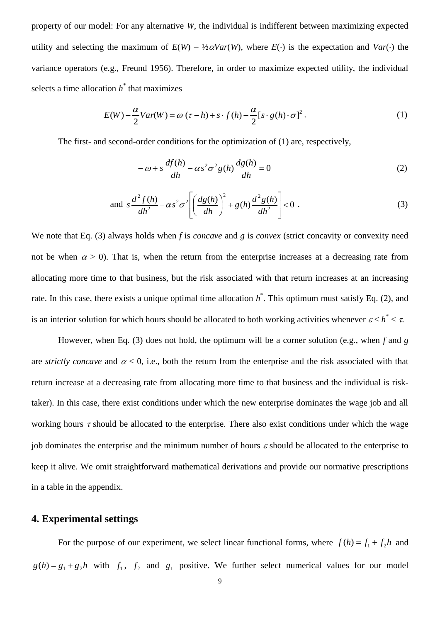property of our model: For any alternative *W,* the individual is indifferent between maximizing expected utility and selecting the maximum of  $E(W) - \frac{1}{2}\alpha Var(W)$ , where  $E(\cdot)$  is the expectation and  $Var(\cdot)$  the variance operators (e.g., Freund 1956). Therefore, in order to maximize expected utility, the individual selects a time allocation  $h^*$  that maximizes

$$
E(W) - \frac{\alpha}{2}Var(W) = \omega(\tau - h) + s \cdot f(h) - \frac{\alpha}{2} [s \cdot g(h) \cdot \sigma]^2.
$$
 (1)

The first- and second-order conditions for the optimization of (1) are, respectively,

$$
-\omega + s\frac{df(h)}{dh} - \alpha s^2 \sigma^2 g(h) \frac{dg(h)}{dh} = 0
$$
\n(2)

and 
$$
s\frac{d^2 f(h)}{dh^2} - \alpha s^2 \sigma^2 \left[ \left( \frac{dg(h)}{dh} \right)^2 + g(h) \frac{d^2 g(h)}{dh^2} \right] < 0
$$
. (3)

We note that Eq. (3) always holds when *f* is *concave* and *g* is *convex* (strict concavity or convexity need not be when  $\alpha > 0$ ). That is, when the return from the enterprise increases at a decreasing rate from allocating more time to that business, but the risk associated with that return increases at an increasing rate. In this case, there exists a unique optimal time allocation  $h^*$ . This optimum must satisfy Eq. (2), and is an interior solution for which hours should be allocated to both working activities whenever  $\varepsilon < h^* < \tau$ .

However, when Eq. (3) does not hold, the optimum will be a corner solution (e.g., when *f* and *g* are *strictly concave* and  $\alpha < 0$ , i.e., both the return from the enterprise and the risk associated with that return increase at a decreasing rate from allocating more time to that business and the individual is risktaker). In this case, there exist conditions under which the new enterprise dominates the wage job and all working hours  $\tau$  should be allocated to the enterprise. There also exist conditions under which the wage job dominates the enterprise and the minimum number of hours  $\varepsilon$  should be allocated to the enterprise to keep it alive. We omit straightforward mathematical derivations and provide our normative prescriptions in a table in the appendix.

### **4. Experimental settings**

For the purpose of our experiment, we select linear functional forms, where  $f(h) = f_1 + f_2 h$  and  $g(h) = g_1 + g_2 h$  with  $f_1$ ,  $f_2$  and  $g_1$  positive. We further select numerical values for our model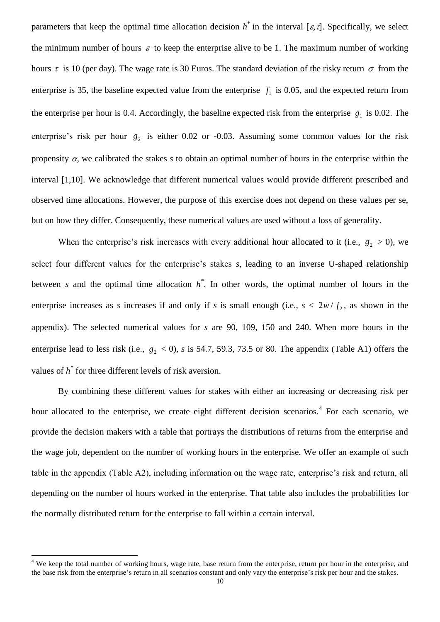parameters that keep the optimal time allocation decision  $h^*$  in the interval [ $\varepsilon$ , $\tau$ ]. Specifically, we select the minimum number of hours  $\varepsilon$  to keep the enterprise alive to be 1. The maximum number of working hours  $\tau$  is 10 (per day). The wage rate is 30 Euros. The standard deviation of the risky return  $\sigma$  from the enterprise is 35, the baseline expected value from the enterprise  $f_1$  is 0.05, and the expected return from the enterprise per hour is 0.4. Accordingly, the baseline expected risk from the enterprise  $g_1$  is 0.02. The enterprise's risk per hour  $g_2$  is either 0.02 or -0.03. Assuming some common values for the risk propensity  $\alpha$ , we calibrated the stakes *s* to obtain an optimal number of hours in the enterprise within the interval [1,10]. We acknowledge that different numerical values would provide different prescribed and observed time allocations. However, the purpose of this exercise does not depend on these values per se, but on how they differ. Consequently, these numerical values are used without a loss of generality.

When the enterprise's risk increases with every additional hour allocated to it (i.e.,  $g_2 > 0$ ), we select four different values for the enterprise's stakes *s*, leading to an inverse U-shaped relationship between *s* and the optimal time allocation *h \** . In other words, the optimal number of hours in the enterprise increases as *s* increases if and only if *s* is small enough (i.e.,  $s < 2w/f_2$ , as shown in the appendix). The selected numerical values for *s* are 90, 109, 150 and 240. When more hours in the enterprise lead to less risk (i.e.,  $g_2 < 0$ ), *s* is 54.7, 59.3, 73.5 or 80. The appendix (Table A1) offers the values of *h \** for three different levels of risk aversion.

By combining these different values for stakes with either an increasing or decreasing risk per hour allocated to the enterprise, we create eight different decision scenarios.<sup>4</sup> For each scenario, we provide the decision makers with a table that portrays the distributions of returns from the enterprise and the wage job, dependent on the number of working hours in the enterprise. We offer an example of such table in the appendix (Table A2), including information on the wage rate, enterprise"s risk and return, all depending on the number of hours worked in the enterprise. That table also includes the probabilities for the normally distributed return for the enterprise to fall within a certain interval.

 $\overline{a}$ 

<sup>&</sup>lt;sup>4</sup> We keep the total number of working hours, wage rate, base return from the enterprise, return per hour in the enterprise, and the base risk from the enterprise"s return in all scenarios constant and only vary the enterprise"s risk per hour and the stakes.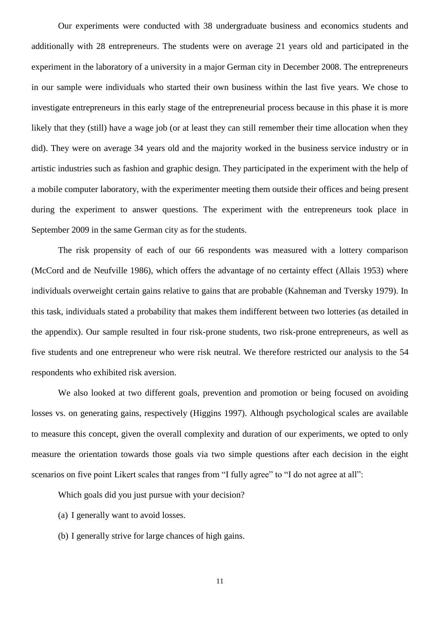Our experiments were conducted with 38 undergraduate business and economics students and additionally with 28 entrepreneurs. The students were on average 21 years old and participated in the experiment in the laboratory of a university in a major German city in December 2008. The entrepreneurs in our sample were individuals who started their own business within the last five years. We chose to investigate entrepreneurs in this early stage of the entrepreneurial process because in this phase it is more likely that they (still) have a wage job (or at least they can still remember their time allocation when they did). They were on average 34 years old and the majority worked in the business service industry or in artistic industries such as fashion and graphic design. They participated in the experiment with the help of a mobile computer laboratory, with the experimenter meeting them outside their offices and being present during the experiment to answer questions. The experiment with the entrepreneurs took place in September 2009 in the same German city as for the students.

The risk propensity of each of our 66 respondents was measured with a lottery comparison (McCord and de Neufville 1986), which offers the advantage of no certainty effect (Allais 1953) where individuals overweight certain gains relative to gains that are probable (Kahneman and Tversky 1979). In this task, individuals stated a probability that makes them indifferent between two lotteries (as detailed in the appendix). Our sample resulted in four risk-prone students, two risk-prone entrepreneurs, as well as five students and one entrepreneur who were risk neutral. We therefore restricted our analysis to the 54 respondents who exhibited risk aversion.

We also looked at two different goals, prevention and promotion or being focused on avoiding losses vs. on generating gains, respectively (Higgins 1997). Although psychological scales are available to measure this concept, given the overall complexity and duration of our experiments, we opted to only measure the orientation towards those goals via two simple questions after each decision in the eight scenarios on five point Likert scales that ranges from "I fully agree" to "I do not agree at all":

Which goals did you just pursue with your decision?

- (a) I generally want to avoid losses.
- (b) I generally strive for large chances of high gains.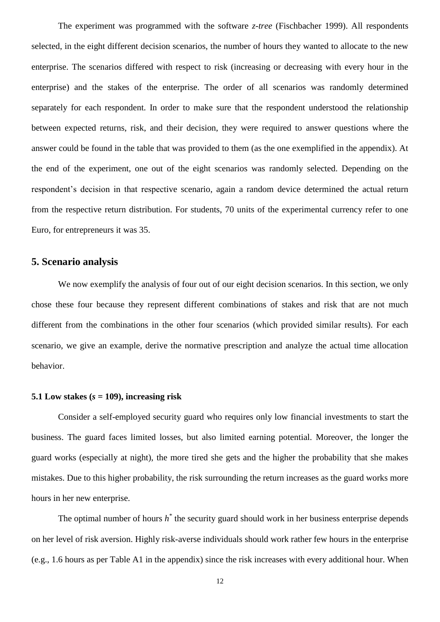The experiment was programmed with the software *z-tree* (Fischbacher 1999). All respondents selected, in the eight different decision scenarios, the number of hours they wanted to allocate to the new enterprise. The scenarios differed with respect to risk (increasing or decreasing with every hour in the enterprise) and the stakes of the enterprise. The order of all scenarios was randomly determined separately for each respondent. In order to make sure that the respondent understood the relationship between expected returns, risk, and their decision, they were required to answer questions where the answer could be found in the table that was provided to them (as the one exemplified in the appendix). At the end of the experiment, one out of the eight scenarios was randomly selected. Depending on the respondent's decision in that respective scenario, again a random device determined the actual return from the respective return distribution. For students, 70 units of the experimental currency refer to one Euro, for entrepreneurs it was 35.

### **5. Scenario analysis**

We now exemplify the analysis of four out of our eight decision scenarios. In this section, we only chose these four because they represent different combinations of stakes and risk that are not much different from the combinations in the other four scenarios (which provided similar results). For each scenario, we give an example, derive the normative prescription and analyze the actual time allocation behavior.

#### **5.1** Low stakes  $(s = 109)$ , increasing risk

Consider a self-employed security guard who requires only low financial investments to start the business. The guard faces limited losses, but also limited earning potential. Moreover, the longer the guard works (especially at night), the more tired she gets and the higher the probability that she makes mistakes. Due to this higher probability, the risk surrounding the return increases as the guard works more hours in her new enterprise.

The optimal number of hours  $h^*$  the security guard should work in her business enterprise depends on her level of risk aversion. Highly risk-averse individuals should work rather few hours in the enterprise (e.g., 1.6 hours as per Table A1 in the appendix) since the risk increases with every additional hour. When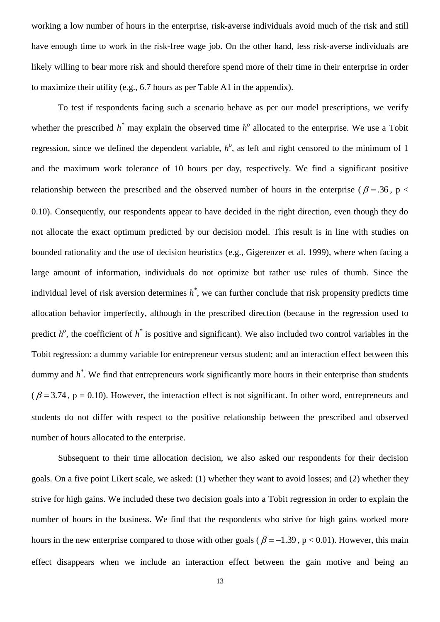working a low number of hours in the enterprise, risk-averse individuals avoid much of the risk and still have enough time to work in the risk-free wage job. On the other hand, less risk-averse individuals are likely willing to bear more risk and should therefore spend more of their time in their enterprise in order to maximize their utility (e.g., 6.7 hours as per Table A1 in the appendix).

To test if respondents facing such a scenario behave as per our model prescriptions, we verify whether the prescribed  $h^*$  may explain the observed time  $h^o$  allocated to the enterprise. We use a Tobit regression, since we defined the dependent variable,  $h^o$ , as left and right censored to the minimum of 1 and the maximum work tolerance of 10 hours per day, respectively. We find a significant positive relationship between the prescribed and the observed number of hours in the enterprise ( $\beta = 0.36$ , p < 0.10). Consequently, our respondents appear to have decided in the right direction, even though they do not allocate the exact optimum predicted by our decision model. This result is in line with studies on bounded rationality and the use of decision heuristics (e.g., Gigerenzer et al. 1999), where when facing a large amount of information, individuals do not optimize but rather use rules of thumb. Since the individual level of risk aversion determines *h \** , we can further conclude that risk propensity predicts time allocation behavior imperfectly, although in the prescribed direction (because in the regression used to predict  $h^o$ , the coefficient of  $h^*$  is positive and significant). We also included two control variables in the Tobit regression: a dummy variable for entrepreneur versus student; and an interaction effect between this dummy and  $h^*$ . We find that entrepreneurs work significantly more hours in their enterprise than students ( $\beta$  = 3.74, p = 0.10). However, the interaction effect is not significant. In other word, entrepreneurs and students do not differ with respect to the positive relationship between the prescribed and observed number of hours allocated to the enterprise.

Subsequent to their time allocation decision, we also asked our respondents for their decision goals. On a five point Likert scale, we asked: (1) whether they want to avoid losses; and (2) whether they strive for high gains. We included these two decision goals into a Tobit regression in order to explain the number of hours in the business. We find that the respondents who strive for high gains worked more hours in the new enterprise compared to those with other goals ( $\beta = -1.39$ , p < 0.01). However, this main effect disappears when we include an interaction effect between the gain motive and being an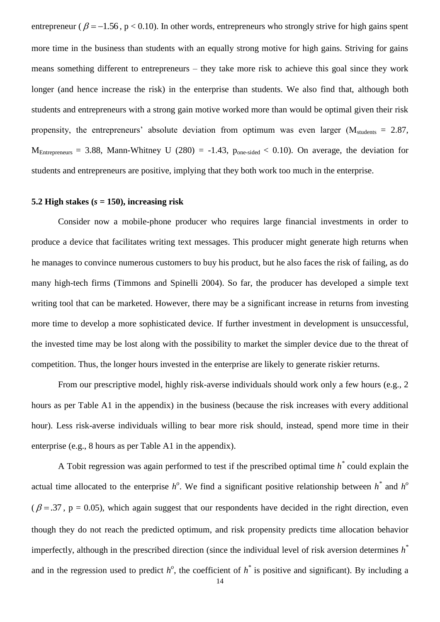entrepreneur ( $\beta = -1.56$ , p < 0.10). In other words, entrepreneurs who strongly strive for high gains spent more time in the business than students with an equally strong motive for high gains. Striving for gains means something different to entrepreneurs – they take more risk to achieve this goal since they work longer (and hence increase the risk) in the enterprise than students. We also find that, although both students and entrepreneurs with a strong gain motive worked more than would be optimal given their risk propensity, the entrepreneurs' absolute deviation from optimum was even larger ( $M_{\text{students}} = 2.87$ ,  $M_{\text{Entreorements}} = 3.88$ , Mann-Whitney U (280) = -1.43,  $p_{\text{one-sided}} < 0.10$ ). On average, the deviation for students and entrepreneurs are positive, implying that they both work too much in the enterprise.

### **5.2 High stakes**  $(s = 150)$ , **increasing risk**

Consider now a mobile-phone producer who requires large financial investments in order to produce a device that facilitates writing text messages. This producer might generate high returns when he manages to convince numerous customers to buy his product, but he also faces the risk of failing, as do many high-tech firms (Timmons and Spinelli 2004). So far, the producer has developed a simple text writing tool that can be marketed. However, there may be a significant increase in returns from investing more time to develop a more sophisticated device. If further investment in development is unsuccessful, the invested time may be lost along with the possibility to market the simpler device due to the threat of competition. Thus, the longer hours invested in the enterprise are likely to generate riskier returns.

From our prescriptive model, highly risk-averse individuals should work only a few hours (e.g., 2 hours as per Table A1 in the appendix) in the business (because the risk increases with every additional hour). Less risk-averse individuals willing to bear more risk should, instead, spend more time in their enterprise (e.g., 8 hours as per Table A1 in the appendix).

A Tobit regression was again performed to test if the prescribed optimal time *h \** could explain the actual time allocated to the enterprise  $h^o$ . We find a significant positive relationship between  $h^*$  and  $h^o$  $(\beta = .37, p = 0.05)$ , which again suggest that our respondents have decided in the right direction, even though they do not reach the predicted optimum, and risk propensity predicts time allocation behavior imperfectly, although in the prescribed direction (since the individual level of risk aversion determines *h \** and in the regression used to predict  $h^o$ , the coefficient of  $h^*$  is positive and significant). By including a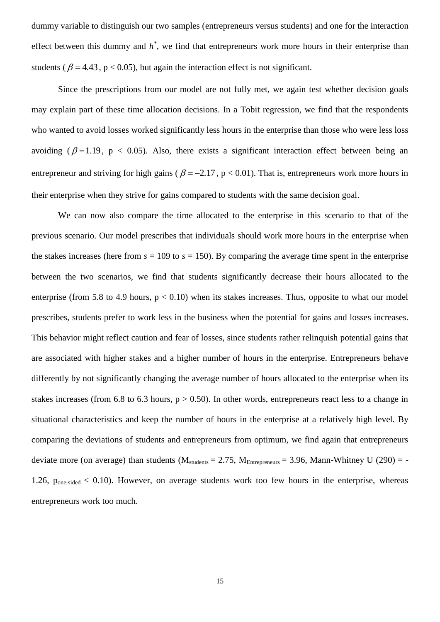dummy variable to distinguish our two samples (entrepreneurs versus students) and one for the interaction effect between this dummy and  $h^*$ , we find that entrepreneurs work more hours in their enterprise than students ( $\beta = 4.43$ , p < 0.05), but again the interaction effect is not significant.

Since the prescriptions from our model are not fully met, we again test whether decision goals may explain part of these time allocation decisions. In a Tobit regression, we find that the respondents who wanted to avoid losses worked significantly less hours in the enterprise than those who were less loss avoiding ( $\beta = 1.19$ ,  $p < 0.05$ ). Also, there exists a significant interaction effect between being an entrepreneur and striving for high gains ( $\beta = -2.17$ ,  $p < 0.01$ ). That is, entrepreneurs work more hours in their enterprise when they strive for gains compared to students with the same decision goal.

We can now also compare the time allocated to the enterprise in this scenario to that of the previous scenario. Our model prescribes that individuals should work more hours in the enterprise when the stakes increases (here from  $s = 109$  to  $s = 150$ ). By comparing the average time spent in the enterprise between the two scenarios, we find that students significantly decrease their hours allocated to the enterprise (from 5.8 to 4.9 hours,  $p < 0.10$ ) when its stakes increases. Thus, opposite to what our model prescribes, students prefer to work less in the business when the potential for gains and losses increases. This behavior might reflect caution and fear of losses, since students rather relinquish potential gains that are associated with higher stakes and a higher number of hours in the enterprise. Entrepreneurs behave differently by not significantly changing the average number of hours allocated to the enterprise when its stakes increases (from 6.8 to 6.3 hours,  $p > 0.50$ ). In other words, entrepreneurs react less to a change in situational characteristics and keep the number of hours in the enterprise at a relatively high level. By comparing the deviations of students and entrepreneurs from optimum, we find again that entrepreneurs deviate more (on average) than students ( $M_{\text{students}} = 2.75$ ,  $M_{\text{Enter}} = 3.96$ , Mann-Whitney U (290) = -1.26,  $p_{one-sided} < 0.10$ ). However, on average students work too few hours in the enterprise, whereas entrepreneurs work too much.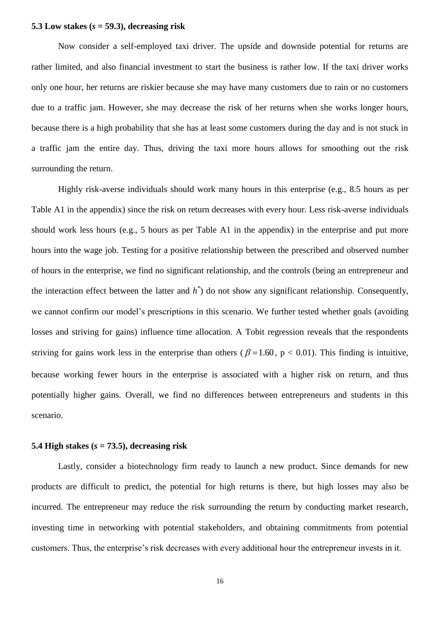#### **5.3 Low stakes (***s* **= 59.3), decreasing risk**

Now consider a self-employed taxi driver. The upside and downside potential for returns are rather limited, and also financial investment to start the business is rather low. If the taxi driver works only one hour, her returns are riskier because she may have many customers due to rain or no customers due to a traffic jam. However, she may decrease the risk of her returns when she works longer hours, because there is a high probability that she has at least some customers during the day and is not stuck in a traffic jam the entire day. Thus, driving the taxi more hours allows for smoothing out the risk surrounding the return.

Highly risk-averse individuals should work many hours in this enterprise (e.g., 8.5 hours as per Table A1 in the appendix) since the risk on return decreases with every hour. Less risk-averse individuals should work less hours (e.g., 5 hours as per Table A1 in the appendix) in the enterprise and put more hours into the wage job. Testing for a positive relationship between the prescribed and observed number of hours in the enterprise, we find no significant relationship, and the controls (being an entrepreneur and the interaction effect between the latter and *h \** ) do not show any significant relationship. Consequently, we cannot confirm our model's prescriptions in this scenario. We further tested whether goals (avoiding losses and striving for gains) influence time allocation. A Tobit regression reveals that the respondents striving for gains work less in the enterprise than others ( $\beta = 1.60$ , p < 0.01). This finding is intuitive, because working fewer hours in the enterprise is associated with a higher risk on return, and thus potentially higher gains. Overall, we find no differences between entrepreneurs and students in this scenario.

#### **5.4 High stakes**  $(s = 73.5)$ , decreasing risk

Lastly, consider a biotechnology firm ready to launch a new product. Since demands for new products are difficult to predict, the potential for high returns is there, but high losses may also be incurred. The entrepreneur may reduce the risk surrounding the return by conducting market research, investing time in networking with potential stakeholders, and obtaining commitments from potential customers. Thus, the enterprise's risk decreases with every additional hour the entrepreneur invests in it.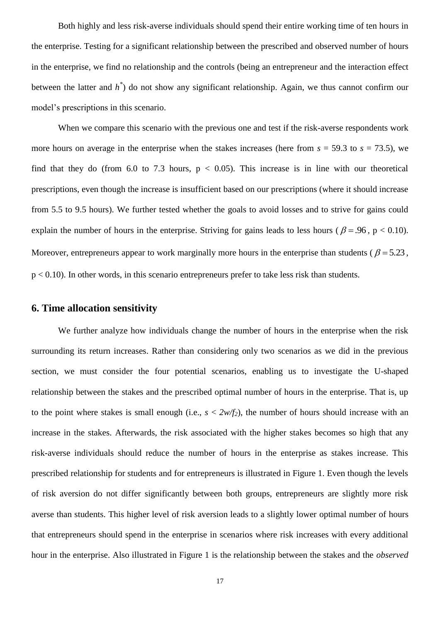Both highly and less risk-averse individuals should spend their entire working time of ten hours in the enterprise. Testing for a significant relationship between the prescribed and observed number of hours in the enterprise, we find no relationship and the controls (being an entrepreneur and the interaction effect between the latter and *h \** ) do not show any significant relationship. Again, we thus cannot confirm our model"s prescriptions in this scenario.

When we compare this scenario with the previous one and test if the risk-averse respondents work more hours on average in the enterprise when the stakes increases (here from  $s = 59.3$  to  $s = 73.5$ ), we find that they do (from 6.0 to 7.3 hours,  $p < 0.05$ ). This increase is in line with our theoretical prescriptions, even though the increase is insufficient based on our prescriptions (where it should increase from 5.5 to 9.5 hours). We further tested whether the goals to avoid losses and to strive for gains could explain the number of hours in the enterprise. Striving for gains leads to less hours ( $\beta = .96$ ,  $p < 0.10$ ). Moreover, entrepreneurs appear to work marginally more hours in the enterprise than students ( $\beta$  = 5.23,  $p < 0.10$ ). In other words, in this scenario entrepreneurs prefer to take less risk than students.

### **6. Time allocation sensitivity**

We further analyze how individuals change the number of hours in the enterprise when the risk surrounding its return increases. Rather than considering only two scenarios as we did in the previous section, we must consider the four potential scenarios, enabling us to investigate the U-shaped relationship between the stakes and the prescribed optimal number of hours in the enterprise. That is, up to the point where stakes is small enough (i.e.,  $s < 2w/f_2$ ), the number of hours should increase with an increase in the stakes. Afterwards, the risk associated with the higher stakes becomes so high that any risk-averse individuals should reduce the number of hours in the enterprise as stakes increase. This prescribed relationship for students and for entrepreneurs is illustrated in Figure 1. Even though the levels of risk aversion do not differ significantly between both groups, entrepreneurs are slightly more risk averse than students. This higher level of risk aversion leads to a slightly lower optimal number of hours that entrepreneurs should spend in the enterprise in scenarios where risk increases with every additional hour in the enterprise. Also illustrated in Figure 1 is the relationship between the stakes and the *observed*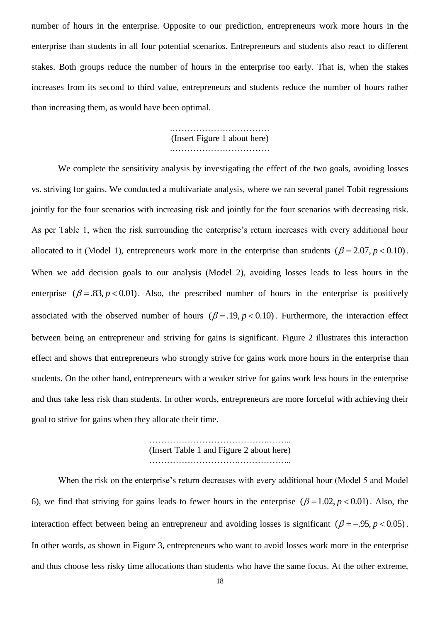number of hours in the enterprise. Opposite to our prediction, entrepreneurs work more hours in the enterprise than students in all four potential scenarios. Entrepreneurs and students also react to different stakes. Both groups reduce the number of hours in the enterprise too early. That is, when the stakes increases from its second to third value, entrepreneurs and students reduce the number of hours rather than increasing them, as would have been optimal.

> .…………………………… (Insert Figure 1 about here) .……………………………

We complete the sensitivity analysis by investigating the effect of the two goals, avoiding losses vs. striving for gains. We conducted a multivariate analysis, where we ran several panel Tobit regressions jointly for the four scenarios with increasing risk and jointly for the four scenarios with decreasing risk. As per Table 1, when the risk surrounding the enterprise's return increases with every additional hour allocated to it (Model 1), entrepreneurs work more in the enterprise than students  $(\beta = 2.07, p < 0.10)$ . When we add decision goals to our analysis (Model 2), avoiding losses leads to less hours in the enterprise  $(\beta = .83, p < 0.01)$ . Also, the prescribed number of hours in the enterprise is positively associated with the observed number of hours  $(\beta = .19, p < 0.10)$ . Furthermore, the interaction effect between being an entrepreneur and striving for gains is significant. Figure 2 illustrates this interaction effect and shows that entrepreneurs who strongly strive for gains work more hours in the enterprise than students. On the other hand, entrepreneurs with a weaker strive for gains work less hours in the enterprise and thus take less risk than students. In other words, entrepreneurs are more forceful with achieving their goal to strive for gains when they allocate their time.

> ………………………………….……... (Insert Table 1 and Figure 2 about here) ………………………….……………...

When the risk on the enterprise's return decreases with every additional hour (Model 5 and Model 6), we find that striving for gains leads to fewer hours in the enterprise  $(\beta = 1.02, p < 0.01)$ . Also, the interaction effect between being an entrepreneur and avoiding losses is significant  $(\beta = -.95, p < 0.05)$ . In other words, as shown in Figure 3, entrepreneurs who want to avoid losses work more in the enterprise and thus choose less risky time allocations than students who have the same focus. At the other extreme,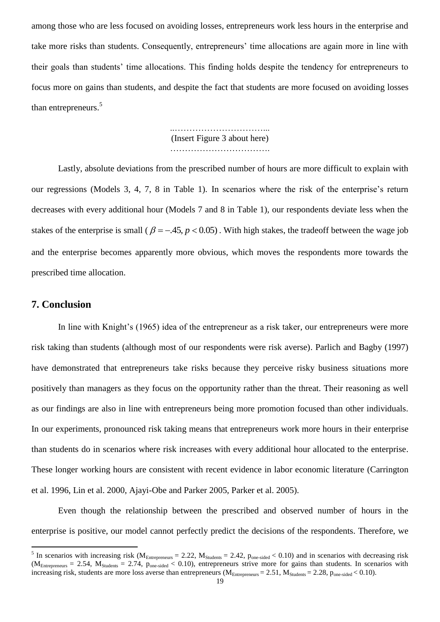among those who are less focused on avoiding losses, entrepreneurs work less hours in the enterprise and take more risks than students. Consequently, entrepreneurs" time allocations are again more in line with their goals than students" time allocations. This finding holds despite the tendency for entrepreneurs to focus more on gains than students, and despite the fact that students are more focused on avoiding losses than entrepreneurs.<sup>5</sup>

> ..…………………………... (Insert Figure 3 about here) …………………………….

Lastly, absolute deviations from the prescribed number of hours are more difficult to explain with our regressions (Models 3, 4, 7, 8 in Table 1). In scenarios where the risk of the enterprise"s return decreases with every additional hour (Models 7 and 8 in Table 1), our respondents deviate less when the stakes of the enterprise is small ( $\beta = -0.45$ ,  $p < 0.05$ ). With high stakes, the tradeoff between the wage job and the enterprise becomes apparently more obvious, which moves the respondents more towards the prescribed time allocation.

## **7. Conclusion**

 $\overline{a}$ 

In line with Knight's (1965) idea of the entrepreneur as a risk taker, our entrepreneurs were more risk taking than students (although most of our respondents were risk averse). Parlich and Bagby (1997) have demonstrated that entrepreneurs take risks because they perceive risky business situations more positively than managers as they focus on the opportunity rather than the threat. Their reasoning as well as our findings are also in line with entrepreneurs being more promotion focused than other individuals. In our experiments, pronounced risk taking means that entrepreneurs work more hours in their enterprise than students do in scenarios where risk increases with every additional hour allocated to the enterprise. These longer working hours are consistent with recent evidence in labor economic literature (Carrington et al. 1996, Lin et al. 2000, Ajayi-Obe and Parker 2005, Parker et al. 2005).

Even though the relationship between the prescribed and observed number of hours in the enterprise is positive, our model cannot perfectly predict the decisions of the respondents. Therefore, we

<sup>&</sup>lt;sup>5</sup> In scenarios with increasing risk ( $M_{\text{Enterpreneurs}} = 2.22$ ,  $M_{\text{Students}} = 2.42$ ,  $p_{\text{one-sided}} < 0.10$ ) and in scenarios with decreasing risk  $(M<sub>Entrepreneurs</sub> = 2.54, M<sub>Students</sub> = 2.74, p<sub>one-sided</sub> < 0.10)$ , entrepreneurs strive more for gains than students. In scenarios with increasing risk, students are more loss averse than entrepreneurs ( $M_{\text{Enter}}$ <sub>eneurs</sub> = 2.51,  $M_{\text{Students}}$  = 2.28,  $p_{\text{one-sided}}$  < 0.10).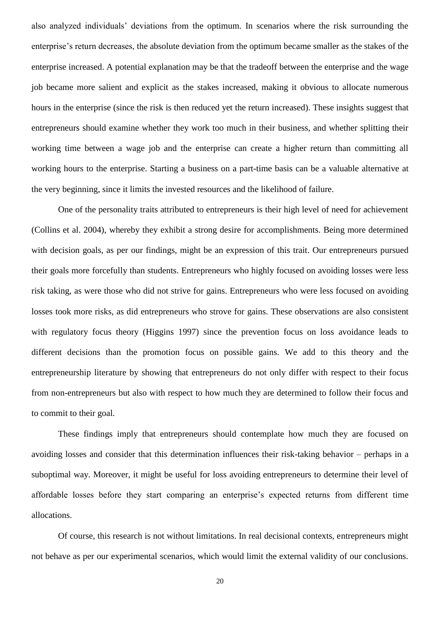also analyzed individuals" deviations from the optimum. In scenarios where the risk surrounding the enterprise"s return decreases, the absolute deviation from the optimum became smaller as the stakes of the enterprise increased. A potential explanation may be that the tradeoff between the enterprise and the wage job became more salient and explicit as the stakes increased, making it obvious to allocate numerous hours in the enterprise (since the risk is then reduced yet the return increased). These insights suggest that entrepreneurs should examine whether they work too much in their business, and whether splitting their working time between a wage job and the enterprise can create a higher return than committing all working hours to the enterprise. Starting a business on a part-time basis can be a valuable alternative at the very beginning, since it limits the invested resources and the likelihood of failure.

One of the personality traits attributed to entrepreneurs is their high level of need for achievement (Collins et al. 2004), whereby they exhibit a strong desire for accomplishments. Being more determined with decision goals, as per our findings, might be an expression of this trait. Our entrepreneurs pursued their goals more forcefully than students. Entrepreneurs who highly focused on avoiding losses were less risk taking, as were those who did not strive for gains. Entrepreneurs who were less focused on avoiding losses took more risks, as did entrepreneurs who strove for gains. These observations are also consistent with regulatory focus theory (Higgins 1997) since the prevention focus on loss avoidance leads to different decisions than the promotion focus on possible gains. We add to this theory and the entrepreneurship literature by showing that entrepreneurs do not only differ with respect to their focus from non-entrepreneurs but also with respect to how much they are determined to follow their focus and to commit to their goal.

These findings imply that entrepreneurs should contemplate how much they are focused on avoiding losses and consider that this determination influences their risk-taking behavior – perhaps in a suboptimal way. Moreover, it might be useful for loss avoiding entrepreneurs to determine their level of affordable losses before they start comparing an enterprise's expected returns from different time allocations.

Of course, this research is not without limitations. In real decisional contexts, entrepreneurs might not behave as per our experimental scenarios, which would limit the external validity of our conclusions.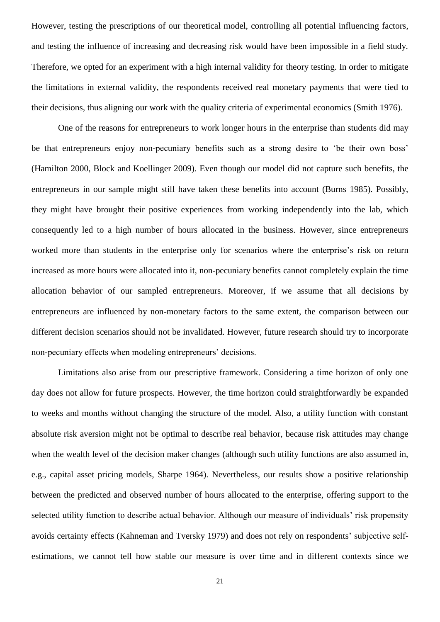However, testing the prescriptions of our theoretical model, controlling all potential influencing factors, and testing the influence of increasing and decreasing risk would have been impossible in a field study. Therefore, we opted for an experiment with a high internal validity for theory testing. In order to mitigate the limitations in external validity, the respondents received real monetary payments that were tied to their decisions, thus aligning our work with the quality criteria of experimental economics (Smith 1976).

One of the reasons for entrepreneurs to work longer hours in the enterprise than students did may be that entrepreneurs enjoy non-pecuniary benefits such as a strong desire to 'be their own boss' (Hamilton 2000, Block and Koellinger 2009). Even though our model did not capture such benefits, the entrepreneurs in our sample might still have taken these benefits into account (Burns 1985). Possibly, they might have brought their positive experiences from working independently into the lab, which consequently led to a high number of hours allocated in the business. However, since entrepreneurs worked more than students in the enterprise only for scenarios where the enterprise's risk on return increased as more hours were allocated into it, non-pecuniary benefits cannot completely explain the time allocation behavior of our sampled entrepreneurs. Moreover, if we assume that all decisions by entrepreneurs are influenced by non-monetary factors to the same extent, the comparison between our different decision scenarios should not be invalidated. However, future research should try to incorporate non-pecuniary effects when modeling entrepreneurs' decisions.

Limitations also arise from our prescriptive framework. Considering a time horizon of only one day does not allow for future prospects. However, the time horizon could straightforwardly be expanded to weeks and months without changing the structure of the model. Also, a utility function with constant absolute risk aversion might not be optimal to describe real behavior, because risk attitudes may change when the wealth level of the decision maker changes (although such utility functions are also assumed in, e.g., capital asset pricing models, Sharpe 1964). Nevertheless, our results show a positive relationship between the predicted and observed number of hours allocated to the enterprise, offering support to the selected utility function to describe actual behavior. Although our measure of individuals' risk propensity avoids certainty effects (Kahneman and Tversky 1979) and does not rely on respondents' subjective selfestimations, we cannot tell how stable our measure is over time and in different contexts since we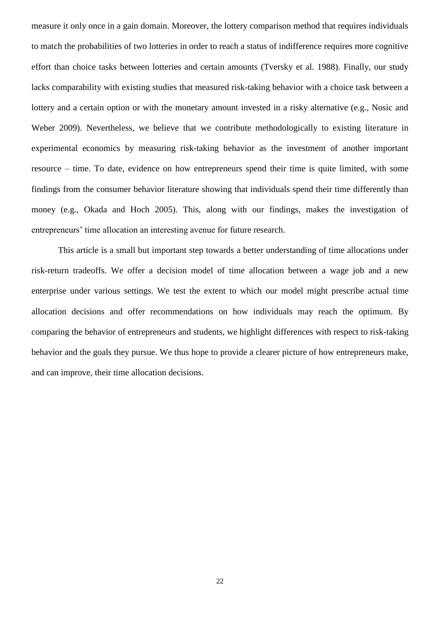measure it only once in a gain domain. Moreover, the lottery comparison method that requires individuals to match the probabilities of two lotteries in order to reach a status of indifference requires more cognitive effort than choice tasks between lotteries and certain amounts (Tversky et al. 1988). Finally, our study lacks comparability with existing studies that measured risk-taking behavior with a choice task between a lottery and a certain option or with the monetary amount invested in a risky alternative (e.g., Nosic and Weber 2009). Nevertheless, we believe that we contribute methodologically to existing literature in experimental economics by measuring risk-taking behavior as the investment of another important resource – time. To date, evidence on how entrepreneurs spend their time is quite limited, with some findings from the consumer behavior literature showing that individuals spend their time differently than money (e.g., Okada and Hoch 2005). This, along with our findings, makes the investigation of entrepreneurs' time allocation an interesting avenue for future research.

This article is a small but important step towards a better understanding of time allocations under risk-return tradeoffs. We offer a decision model of time allocation between a wage job and a new enterprise under various settings. We test the extent to which our model might prescribe actual time allocation decisions and offer recommendations on how individuals may reach the optimum. By comparing the behavior of entrepreneurs and students, we highlight differences with respect to risk-taking behavior and the goals they pursue. We thus hope to provide a clearer picture of how entrepreneurs make, and can improve, their time allocation decisions.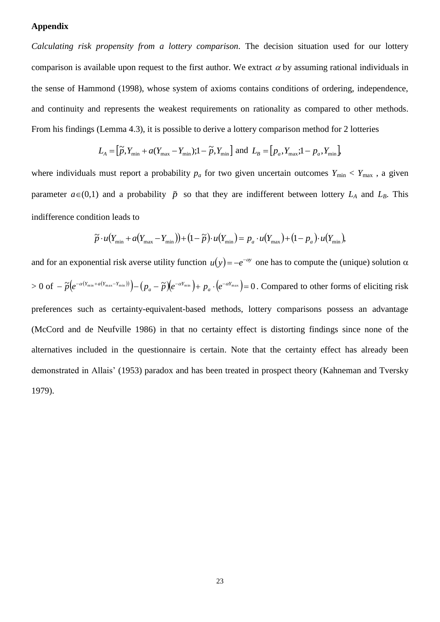## **Appendix**

*Calculating risk propensity from a lottery comparison*. The decision situation used for our lottery comparison is available upon request to the first author. We extract  $\alpha$  by assuming rational individuals in the sense of Hammond (1998), whose system of axioms contains conditions of ordering, independence, and continuity and represents the weakest requirements on rationality as compared to other methods. From his findings (Lemma 4.3), it is possible to derive a lottery comparison method for 2 lotteries

$$
L_{A} = \left[\widetilde{p}, Y_{\min} + a(Y_{\max} - Y_{\min}); 1 - \widetilde{p}, Y_{\min}\right] \text{ and } L_{B} = \left[p_{a}, Y_{\max}; 1 - p_{a}, Y_{\min}\right],
$$

where individuals must report a probability  $p_a$  for two given uncertain outcomes  $Y_{\text{min}} < Y_{\text{max}}$ , a given parameter  $a \in (0,1)$  and a probability  $\tilde{p}$  so that they are indifferent between lottery  $L_A$  and  $L_B$ . This indifference condition leads to

$$
\widetilde{p} \cdot u(Y_{\min} + a(Y_{\max} - Y_{\min})) + (1 - \widetilde{p}) \cdot u(Y_{\min}) = p_a \cdot u(Y_{\max}) + (1 - p_a) \cdot u(Y_{\min}),
$$

and for an exponential risk averse utility function  $u(y) = -e^{-\alpha y}$  one has to compute the (unique) solution  $\alpha$  $>0 \; \text{of} \; - \widetilde{p}\big(e^{-\alpha (Y_{\min}+a(Y_{\max}-Y_{\min}))}\big) - (p_{_a}-\widetilde{p})\big(e^{-\alpha Y_{\min}}\big) + \, p_{_a} \cdot \big(e^{-\alpha Y_{\max}}\big) = 0$ *a Y a*  $\tilde{p}(e^{-\alpha(Y_{\min} + a(Y_{\max} - Y_{\min}))}) - (p_a - \tilde{p})(e^{-\alpha Y_{\min}}) + p_a \cdot (e^{-\alpha Y_{\max}}) = 0$ . Compared to other forms of eliciting risk preferences such as certainty-equivalent-based methods, lottery comparisons possess an advantage (McCord and de Neufville 1986) in that no certainty effect is distorting findings since none of the alternatives included in the questionnaire is certain. Note that the certainty effect has already been demonstrated in Allais' (1953) paradox and has been treated in prospect theory (Kahneman and Tversky 1979).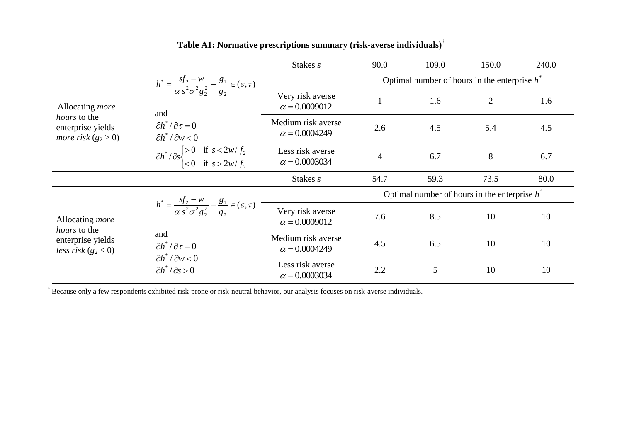|                                                                   |                                                                                                                                           | Stakes s                                   | 90.0                                            | 109.0 | 150.0          | 240.0 |  |  |  |  |
|-------------------------------------------------------------------|-------------------------------------------------------------------------------------------------------------------------------------------|--------------------------------------------|-------------------------------------------------|-------|----------------|-------|--|--|--|--|
|                                                                   | $h^* = \frac{sf_2 - w}{\alpha s^2 \sigma^2 g_2^2} - \frac{g_1}{g_2} \in (\varepsilon, \tau)$                                              |                                            | Optimal number of hours in the enterprise $h^*$ |       |                |       |  |  |  |  |
| Allocating <i>more</i>                                            | and<br>$\partial h^* / \partial \tau = 0$<br>$\partial h^* / \partial w < 0$                                                              | Very risk averse<br>$\alpha = 0.0009012$   |                                                 | 1.6   | $\overline{2}$ | 1.6   |  |  |  |  |
| <i>hours</i> to the<br>enterprise yields<br>more risk $(g_2 > 0)$ |                                                                                                                                           | Medium risk averse<br>$\alpha = 0.0004249$ | 2.6                                             | 4.5   | 5.4            | 4.5   |  |  |  |  |
|                                                                   | $\partial h^* / \partial s \begin{cases} > 0 & \text{if } s < 2w/f_2 \\ < 0 & \text{if } s > 2w/f_2 \end{cases}$                          | Less risk averse<br>$\alpha = 0.0003034$   | $\overline{4}$                                  | 6.7   | 8              | 6.7   |  |  |  |  |
|                                                                   |                                                                                                                                           | Stakes s                                   | 54.7                                            | 59.3  | 73.5           | 80.0  |  |  |  |  |
|                                                                   |                                                                                                                                           |                                            | Optimal number of hours in the enterprise $h^*$ |       |                |       |  |  |  |  |
| Allocating more<br>hours to the                                   | $h^* = \frac{sf_2 - w}{\alpha s^2 \sigma^2 g_2^2} - \frac{g_1}{g_2} \in (\varepsilon, \tau)$<br>and<br>$\partial h^* / \partial \tau = 0$ | Very risk averse<br>$\alpha = 0.0009012$   | 7.6                                             | 8.5   | 10             | 10    |  |  |  |  |
| enterprise yields<br>less risk $(g_2 < 0)$                        |                                                                                                                                           | Medium risk averse<br>$\alpha = 0.0004249$ | 4.5                                             | 6.5   | 10             | 10    |  |  |  |  |
|                                                                   | $\partial h^* / \partial w < 0$<br>$\partial h^* / \partial s > 0$                                                                        | Less risk averse<br>$\alpha = 0.0003034$   | 2.2                                             | 5     | 10             | 10    |  |  |  |  |

# **Table A1: Normative prescriptions summary (risk-averse individuals)**†

† Because only a few respondents exhibited risk-prone or risk-neutral behavior, our analysis focuses on risk-averse individuals.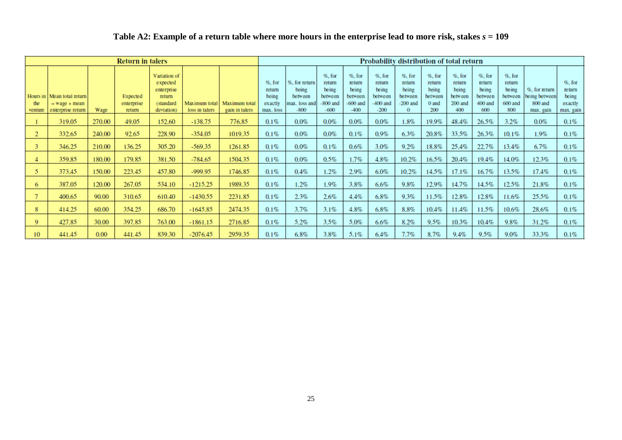| Table A2: Example of a return table where more hours in the enterprise lead to more risk, stakes $s = 109$ |
|------------------------------------------------------------------------------------------------------------|
|                                                                                                            |

| <b>Return in talers</b> |                                                                      |        |                                  |                                                                             | Probability distribution of total return |                                 |                                                      |                                                              |                                                                 |                                                                 |                                                                 |                                                                   |                                                         |                                                             |                                                           |                                                            |                                                        |                                                       |
|-------------------------|----------------------------------------------------------------------|--------|----------------------------------|-----------------------------------------------------------------------------|------------------------------------------|---------------------------------|------------------------------------------------------|--------------------------------------------------------------|-----------------------------------------------------------------|-----------------------------------------------------------------|-----------------------------------------------------------------|-------------------------------------------------------------------|---------------------------------------------------------|-------------------------------------------------------------|-----------------------------------------------------------|------------------------------------------------------------|--------------------------------------------------------|-------------------------------------------------------|
| the<br>venture          | Hours in Mean total return<br>$=$ wage $+$ mean<br>enterprise return | Wage   | Expected<br>enterprise<br>return | Variation of<br>expected<br>enterprise<br>return<br>(standard<br>deviation) | Maximum total<br>loss in talers          | Maximum total<br>gain in talers | $%$ , for<br>return<br>being<br>exactly<br>max. loss | %, for return<br>being<br>between<br>max. loss and<br>$-800$ | $%$ , for<br>return<br>being<br>between<br>$-800$ and<br>$-600$ | $%$ , for<br>return<br>being<br>between<br>$-600$ and<br>$-400$ | $%$ , for<br>return<br>being<br>between<br>$-400$ and<br>$-200$ | $%$ , for<br>return<br>being<br>between<br>$-200$ and<br>$\bf{0}$ | $%$ , for<br>return<br>being<br>between<br>0 and<br>200 | $%$ , for<br>return<br>being<br>between<br>$200$ and<br>400 | $%$ , for<br>return<br>being<br>between<br>400 and<br>600 | $\%$ , for<br>return<br>being<br>between<br>600 and<br>800 | %, for return<br>being between<br>800 and<br>max. gain | $\%$ , for<br>return<br>being<br>exactly<br>max. gain |
|                         | 319.05                                                               | 270.00 | 49.05                            | 152.60                                                                      | $-138.75$                                | 776.85                          | $0.1\%$                                              | 0.0%                                                         | $0.0\%$                                                         | $0.0\%$                                                         | $0.0\%$                                                         | $1.8\%$                                                           | 19.9%                                                   | 48.4%                                                       | 26.5%                                                     | 3.2%                                                       | $0.0\%$                                                | $0.1\%$                                               |
| $\overline{2}$          | 332.65                                                               | 240.00 | 92.65                            | 228.90                                                                      | $-354.05$                                | 1019.35                         | $0.1\%$                                              | $0.0\%$                                                      | $0.0\%$                                                         | 0.1%                                                            | $0.9\%$                                                         | 6.3%                                                              | 20.8%                                                   | 33.5%                                                       | 26.3%                                                     | $10.1\%$                                                   | $1.9\%$                                                | $0.1\%$                                               |
| 3.                      | 346.25                                                               | 210.00 | 136.25                           | 305.20                                                                      | $-569.35$                                | 1261.85                         | $0.1\%$                                              | $0.0\%$                                                      | $0.1\%$                                                         | 0.6%                                                            | 3.0%                                                            | 9.2%                                                              | 18.8%                                                   | 25.4%                                                       | 22.7%                                                     | $13.4\%$                                                   | 6.7%                                                   | $0.1\%$                                               |
| 4                       | 359.85                                                               | 180.00 | 179.85                           | 381.50                                                                      | $-784.65$                                | 1504.35                         | $0.1\%$                                              | $0.0\%$                                                      | 0.5%                                                            | 1.7%                                                            | 4.8%                                                            | 10.2%                                                             | 16.5%                                                   | 20.4%                                                       | 19.4%                                                     | 14.0%                                                      | 12.3%                                                  | $0.1\%$                                               |
| 5.                      | 373.45                                                               | 150.00 | 223.45                           | 457.80                                                                      | -999.95                                  | 1746.85                         | $0.1\%$                                              | 0.4%                                                         | 1.2%                                                            | 2.9%                                                            | $6.0\%$                                                         | 10.2%                                                             | 14.5%                                                   | 17.1%                                                       | 16.7%                                                     | 13.5%                                                      | 17.4%                                                  | $0.1\%$                                               |
| 6                       | 387.05                                                               | 120.00 | 267.05                           | 534.10                                                                      | $-1215.25$                               | 1989.35                         | $0.1\%$                                              | 1.2%                                                         | $1.9\%$                                                         | 3.8%                                                            | $6.6\%$                                                         | 9.8%                                                              | 12.9%                                                   | 14.7%                                                       | 14.5%                                                     | 12.5%                                                      | 21.8%                                                  | $0.1\%$                                               |
|                         | 400.65                                                               | 90.00  | 310.65                           | 610.40                                                                      | $-1430.55$                               | 2231.85                         | $0.1\%$                                              | 2.3%                                                         | 2.6%                                                            | 4.4%                                                            | $6.8\%$                                                         | 9.3%                                                              | 11.5%                                                   | 12.8%                                                       | 12.8%                                                     | 11.6%                                                      | 25.5%                                                  | $0.1\%$                                               |
| 8                       | 414.25                                                               | 60.00  | 354.25                           | 686.70                                                                      | $-1645.85$                               | 2474.35                         | $0.1\%$                                              | 3.7%                                                         | 3.1%                                                            | 4.8%                                                            | $6.8\%$                                                         | 8.8%                                                              | $10.4\%$                                                | 11.4%                                                       | 11.5%                                                     | $10.6\%$                                                   | 28.6%                                                  | $0.1\%$                                               |
| $\mathbf Q$             | 427.85                                                               | 30.00  | 397.85                           | 763.00                                                                      | $-1861.15$                               | 2716.85                         | $0.1\%$                                              | 5.2%                                                         | 3.5%                                                            | 5.0%                                                            | 6.6%                                                            | 8.2%                                                              | 9.5%                                                    | 10.3%                                                       | 10.4%                                                     | 9.8%                                                       | 31.2%                                                  | $0.1\%$                                               |
| 10                      | 441.45                                                               | 0.00   | 441.45                           | 839.30                                                                      | $-2076.45$                               | 2959.35                         | $0.1\%$                                              | $6.8\%$                                                      | 3.8%                                                            | 5.1%                                                            | 6.4%                                                            | 7.7%                                                              | 8.7%                                                    | 9.4%                                                        | 9.5%                                                      | 9.0%                                                       | 33.3%                                                  | $0.1\%$                                               |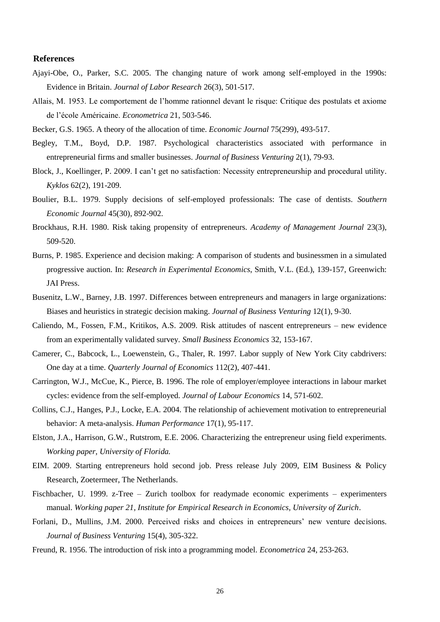#### **References**

- Ajayi-Obe, O., Parker, S.C. 2005. The changing nature of work among self-employed in the 1990s: Evidence in Britain. *Journal of Labor Research* 26(3), 501-517.
- Allais, M. 1953. Le comportement de l"homme rationnel devant le risque: Critique des postulats et axiome de l"école Américaine. *Econometrica* 21, 503-546.

Becker, G.S. 1965. A theory of the allocation of time. *Economic Journal* 75(299), 493-517.

- Begley, T.M., Boyd, D.P. 1987. Psychological characteristics associated with performance in entrepreneurial firms and smaller businesses. *Journal of Business Venturing* 2(1), 79-93.
- Block, J., Koellinger, P. 2009. I can't get no satisfaction: Necessity entrepreneurship and procedural utility. *Kyklos* 62(2), 191-209.
- Boulier, B.L. 1979. Supply decisions of self-employed professionals: The case of dentists. *Southern Economic Journal* 45(30), 892-902.
- Brockhaus, R.H. 1980. Risk taking propensity of entrepreneurs. *Academy of Management Journal* 23(3), 509-520.
- Burns, P. 1985. Experience and decision making: A comparison of students and businessmen in a simulated progressive auction. In: *Research in Experimental Economics*, Smith, V.L. (Ed.), 139-157, Greenwich: JAI Press.
- Busenitz, L.W., Barney, J.B. 1997. Differences between entrepreneurs and managers in large organizations: Biases and heuristics in strategic decision making. *Journal of Business Venturing* 12(1), 9-30.
- Caliendo, M., Fossen, F.M., Kritikos, A.S. 2009. Risk attitudes of nascent entrepreneurs new evidence from an experimentally validated survey. *Small Business Economics* 32, 153-167.
- Camerer, C., Babcock, L., Loewenstein, G., Thaler, R. 1997. Labor supply of New York City cabdrivers: One day at a time. *Quarterly Journal of Economics* 112(2), 407-441.
- Carrington, W.J., McCue, K., Pierce, B. 1996. The role of employer/employee interactions in labour market cycles: evidence from the self-employed. *Journal of Labour Economics* 14, 571-602.
- Collins, C.J., Hanges, P.J., Locke, E.A. 2004. The relationship of achievement motivation to entrepreneurial behavior: A meta-analysis. *Human Performance* 17(1), 95-117.
- Elston, J.A., Harrison, G.W., Rutstrom, E.E. 2006. Characterizing the entrepreneur using field experiments. *Working paper, University of Florida.*
- EIM. 2009. Starting entrepreneurs hold second job. Press release July 2009, EIM Business & Policy Research, Zoetermeer, The Netherlands.
- Fischbacher, U. 1999. z-Tree Zurich toolbox for readymade economic experiments experimenters manual. *Working paper 21, Institute for Empirical Research in Economics, University of Zurich*.
- Forlani, D., Mullins, J.M. 2000. Perceived risks and choices in entrepreneurs' new venture decisions. *Journal of Business Venturing* 15(4), 305-322.
- Freund, R. 1956. The introduction of risk into a programming model. *Econometrica* 24, 253-263.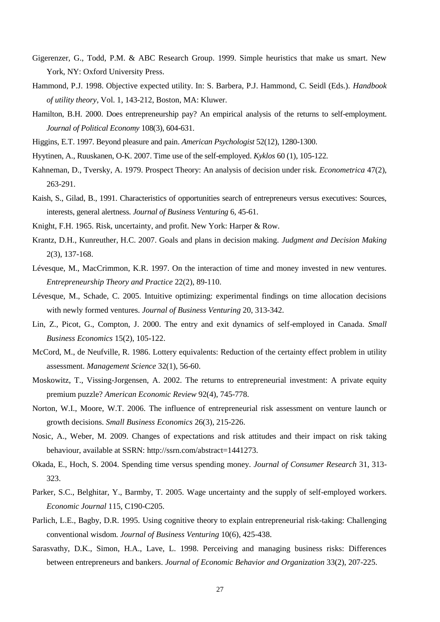- Gigerenzer, G., Todd, P.M. & ABC Research Group. 1999. Simple heuristics that make us smart. New York, NY: Oxford University Press.
- Hammond, P.J. 1998. Objective expected utility. In: S. Barbera, P.J. Hammond, C. Seidl (Eds.). *Handbook of utility theory*, Vol. 1, 143-212, Boston, MA: Kluwer.
- Hamilton, B.H. 2000. Does entrepreneurship pay? An empirical analysis of the returns to self-employment. *Journal of Political Economy* 108(3), 604-631.
- Higgins, E.T. 1997. Beyond pleasure and pain. *American Psychologist* 52(12), 1280-1300.
- Hyytinen, A., Ruuskanen, O-K. 2007. Time use of the self-employed. *Kyklos* 60 (1), 105-122.
- Kahneman, D., Tversky, A. 1979. Prospect Theory: An analysis of decision under risk. *Econometrica* 47(2), 263-291.
- Kaish, S., Gilad, B., 1991. Characteristics of opportunities search of entrepreneurs versus executives: Sources, interests, general alertness. *Journal of Business Venturing* 6, 45-61.
- Knight, F.H. 1965. Risk, uncertainty, and profit. New York: Harper & Row.
- Krantz, D.H., Kunreuther, H.C. 2007. Goals and plans in decision making. *Judgment and Decision Making* 2(3), 137-168.
- Lévesque, M., MacCrimmon, K.R. 1997. On the interaction of time and money invested in new ventures. *Entrepreneurship Theory and Practice* 22(2), 89-110.
- Lévesque, M., Schade, C. 2005. Intuitive optimizing: experimental findings on time allocation decisions with newly formed ventures. *Journal of Business Venturing* 20, 313-342.
- Lin, Z., Picot, G., Compton, J. 2000. The entry and exit dynamics of self-employed in Canada. *Small Business Economics* 15(2), 105-122.
- McCord, M., de Neufville, R. 1986. Lottery equivalents: Reduction of the certainty effect problem in utility assessment. *Management Science* 32(1), 56-60.
- Moskowitz, T., Vissing-Jorgensen, A. 2002. The returns to entrepreneurial investment: A private equity premium puzzle? *American Economic Review* 92(4), 745-778.
- Norton, W.I., Moore, W.T. 2006. The influence of entrepreneurial risk assessment on venture launch or growth decisions. *Small Business Economics* 26(3), 215-226.
- Nosic, A., Weber, M. 2009. Changes of expectations and risk attitudes and their impact on risk taking behaviour, available at SSRN: [http://ssrn.com/abstract=1441273.](http://ssrn.com/abstract=1441273)
- Okada, E., Hoch, S. 2004. Spending time versus spending money. *Journal of Consumer Research* 31, 313- 323.
- Parker, S.C., Belghitar, Y., Barmby, T. 2005. Wage uncertainty and the supply of self-employed workers. *Economic Journal* 115, C190-C205.
- Parlich, L.E., Bagby, D.R. 1995. Using cognitive theory to explain entrepreneurial risk-taking: Challenging conventional wisdom. *Journal of Business Venturing* 10(6), 425-438.
- Sarasvathy, D.K., Simon, H.A., Lave, L. 1998. Perceiving and managing business risks: Differences between entrepreneurs and bankers. *Journal of Economic Behavior and Organization* 33(2), 207-225.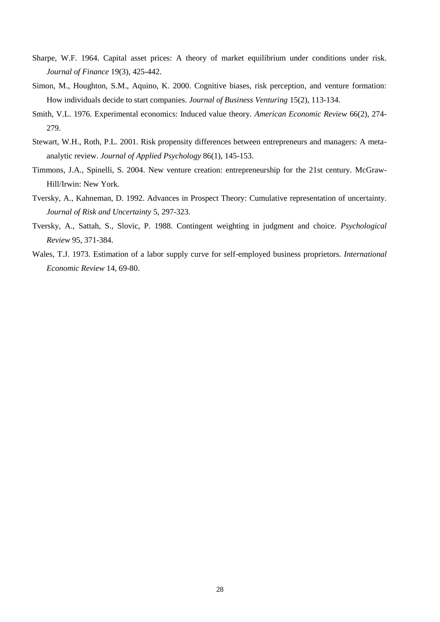- Sharpe, W.F. 1964. Capital asset prices: A theory of market equilibrium under conditions under risk. *Journal of Finance* 19(3), 425-442.
- Simon, M., Houghton, S.M., Aquino, K. 2000. Cognitive biases, risk perception, and venture formation: How individuals decide to start companies. *Journal of Business Venturing* 15(2), 113-134.
- Smith, V.L. 1976. Experimental economics: Induced value theory. *American Economic Review* 66(2), 274- 279.
- Stewart, W.H., Roth, P.L. 2001. Risk propensity differences between entrepreneurs and managers: A metaanalytic review. *Journal of Applied Psychology* 86(1), 145-153.
- Timmons, J.A., Spinelli, S. 2004. New venture creation: entrepreneurship for the 21st century. McGraw-Hill/Irwin: New York.
- Tversky, A., Kahneman, D. 1992. Advances in Prospect Theory: Cumulative representation of uncertainty. *Journal of Risk and Uncertainty* 5, 297-323.
- Tversky, A., Sattah, S., Slovic, P. 1988. Contingent weighting in judgment and choice. *Psychological Review* 95, 371-384.
- Wales, T.J. 1973. Estimation of a labor supply curve for self-employed business proprietors. *International Economic Review* 14, 69-80.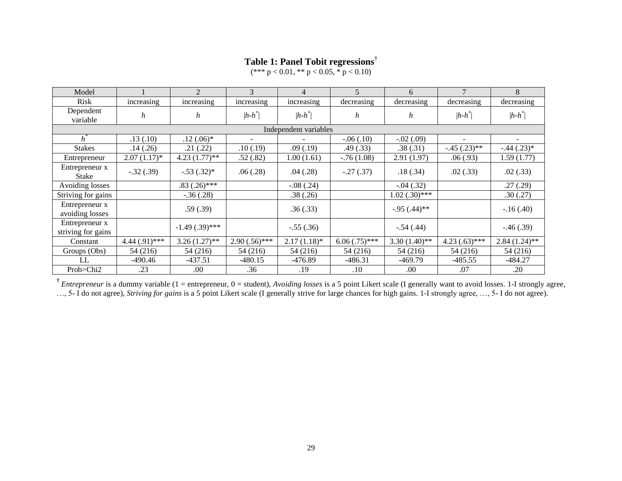# **Table 1: Panel Tobit regressions**†

 $(*** p < 0.01, ** p < 0.05, * p < 0.10)$ 

| Model                                |                   | $\overline{2}$   | 3                        | 4              | $\overline{5}$  | 6               | $\overline{7}$           | 8               |  |  |  |
|--------------------------------------|-------------------|------------------|--------------------------|----------------|-----------------|-----------------|--------------------------|-----------------|--|--|--|
| Risk                                 | increasing        | increasing       | increasing               | increasing     | decreasing      | decreasing      | decreasing               | decreasing      |  |  |  |
| Dependent<br>variable                | h                 | h                | $ h-h^* $                | $ h-h^* $      | h               | h               | $ h-h^* $                | $ h-h^* $       |  |  |  |
| Independent variables                |                   |                  |                          |                |                 |                 |                          |                 |  |  |  |
| $h^{\circ}$                          | .13(.10)          | $.12(.06)*$      | $\overline{\phantom{a}}$ |                | $-.06(.10)$     | $-.02(.09)$     | $\overline{\phantom{a}}$ |                 |  |  |  |
| <b>Stakes</b>                        | .14(0.26)         | .21(.22)         | .10(.19)                 | .09(0.19)      | .49 (.33)       | .38(.31)        | $-.45(.23)**$            | $-.44(.23)*$    |  |  |  |
| Entrepreneur                         | $2.07(1.17)^*$    | $4.23(1.77)$ **  | .52(.82)                 | 1.00(1.61)     | $-0.76(1.08)$   | 2.91(1.97)      | .06(.93)                 | 1.59(1.77)      |  |  |  |
| Entrepreneur x<br><b>Stake</b>       | $-.32(.39)$       | $-.53(.32)*$     | .06(.28)                 | .04(.28)       | $-.27(.37)$     | .18(.34)        | .02(.33)                 | .02(.33)        |  |  |  |
| Avoiding losses                      |                   | $.83(.26)$ ***   |                          | $-.08(.24)$    |                 | $-.04(.32)$     |                          | .27(.29)        |  |  |  |
| Striving for gains                   |                   | $-.36(.28)$      |                          | .38(.26)       |                 | $1.02(.30)$ *** |                          | .30(.27)        |  |  |  |
| Entrepreneur x<br>avoiding losses    |                   | .59(.39)         |                          | .36(.33)       |                 | $-.95(.44)$ **  |                          | $-16(0.40)$     |  |  |  |
| Entrepreneur x<br>striving for gains |                   | $-1.49(.39)$ *** |                          | $-.55(.36)$    |                 | $-.54(.44)$     |                          | $-.46(.39)$     |  |  |  |
| Constant                             | $4.44 (0.91)$ *** | $3.26(1.27)$ **  | $2.90(.56)$ ***          | $2.17(1.18)$ * | $6.06(.75)$ *** | $3.30(1.40)$ ** | $4.23(.63)$ ***          | $2.84(1.24)$ ** |  |  |  |
| Groups (Obs)                         | 54 (216)          | 54 (216)         | 54 (216)                 | 54 (216)       | 54 (216)        | 54 (216)        | 54 (216)                 | 54 (216)        |  |  |  |
| LL                                   | $-490.46$         | $-437.51$        | $-480.15$                | $-476.89$      | $-486.31$       | $-469.79$       | $-485.55$                | $-484.27$       |  |  |  |
| Prob>Chi2                            | .23               | .00              | .36                      | .19            | $.10\,$         | .00             | .07                      | .20             |  |  |  |

<sup>†</sup> *Entrepreneur* is a dummy variable (1 = entrepreneur, 0 = student), *Avoiding losses* is a 5 point Likert scale (I generally want to avoid losses. 1-I strongly agree, …, 5- I do not agree), *Striving for gains* is a 5 point Likert scale (I generally strive for large chances for high gains. 1-I strongly agree, …, 5- I do not agree).